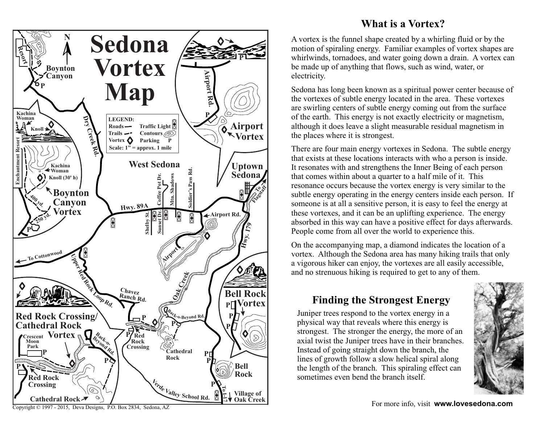

## **What is a Vortex?**

A vortex is the funnel shape created by a whirling fluid or by the motion of spiraling energy. Familiar examples of vortex shapes are whirlwinds, tornadoes, and water going down a drain. A vortex can be made up of anything that flows, such as wind, water, or electricity.

Sedona has long been known as a spiritual power center because of the vortexes of subtle energy located in the area. These vortexes are swirling centers of subtle energy coming out from the surface of the earth. This energy is not exactly electricity or magnetism, although it does leave a slight measurable residual magnetism in the places where it is strongest.

There are four main energy vortexes in Sedona. The subtle energy that exists at these locations interacts with who a person is inside. It resonates with and strengthens the Inner Being of each person that comes within about a quarter to a half mile of it. This resonance occurs because the vortex energy is very similar to the subtle energy operating in the energy centers inside each person. If someone is at all a sensitive person, it is easy to feel the energy at these vortexes, and it can be an uplifting experience. The energy absorbed in this way can have a positive effect for days afterwards. People come from all over the world to experience this.

On the accompanying map, a diamond indicates the location of a vortex. Although the Sedona area has many hiking trails that only a vigorous hiker can enjoy, the vortexes are all easily accessible, and no strenuous hiking is required to get to any of them.

## **Finding the Strongest Energy**

Juniper trees respond to the vortex energy in a physical way that reveals where this energy is strongest. The stronger the energy, the more of an axial twist the Juniper trees have in their branches. Instead of going straight down the branch, the lines of growth follow a slow helical spiral along the length of the branch. This spiraling effect can sometimes even bend the branch itself.